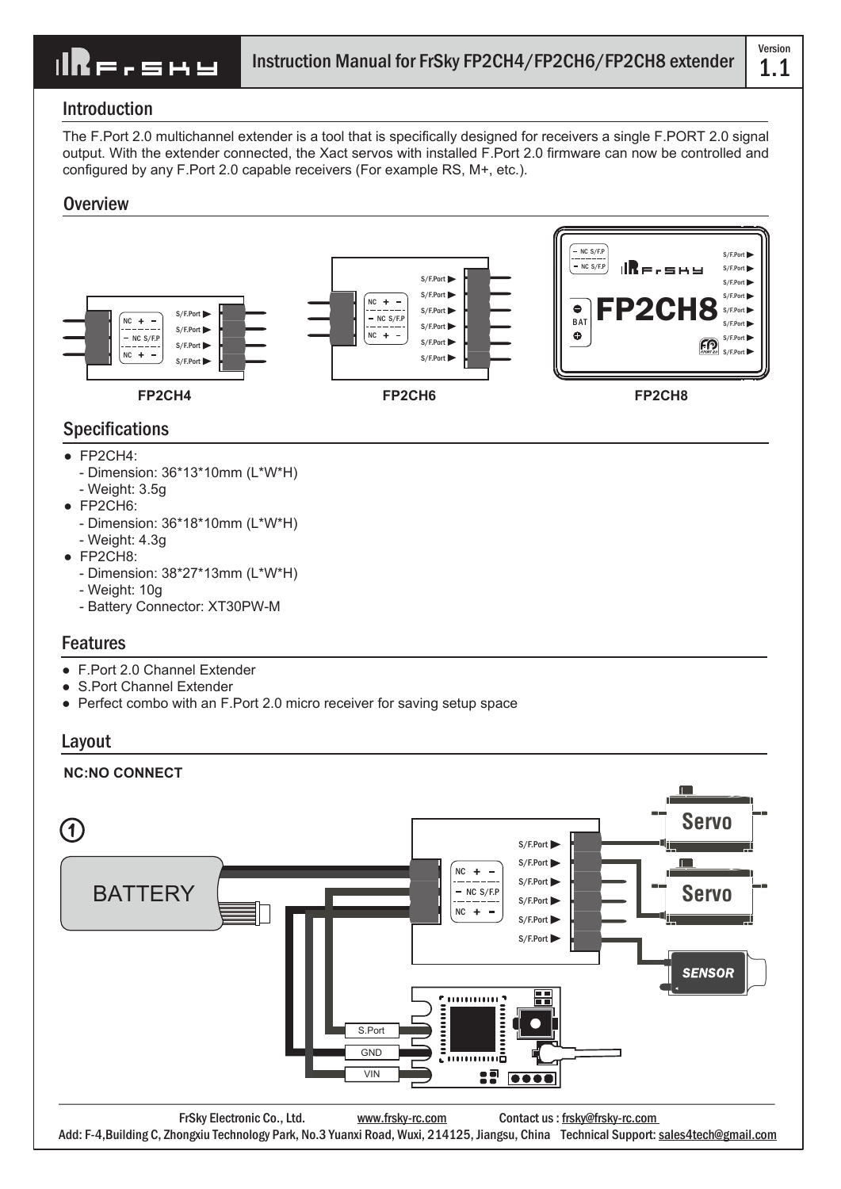**IRE.SHY** 

Version

### Introduction

The F.Port 2.0 multichannel extender is a tool that is specifically designed for receivers a single F.PORT 2.0 signal output. With the extender connected, the Xact servos with installed F.Port 2.0 firmware can now be controlled and configured by any F.Port 2.0 capable receivers (For example RS, M+, etc.).

### **Overview**



# Specifications

- FP2CH4:
	- Dimension: 36\*13\*10mm (L\*W\*H)
	- Weight: 3.5g
- $\bullet$  FP2CH6:
	- Dimension: 36\*18\*10mm (L\*W\*H)
	- Weight: 4.3g
- FP2CH8:
	- Dimension: 38\*27\*13mm (L\*W\*H)
	- Weight: 10g
	- Battery Connector: XT30PW-M

## Features

- F.Port 2.0 Channel Extender
- S.Port Channel Extender
- Perfect combo with an F.Port 2.0 micro receiver for saving setup space

### Layout